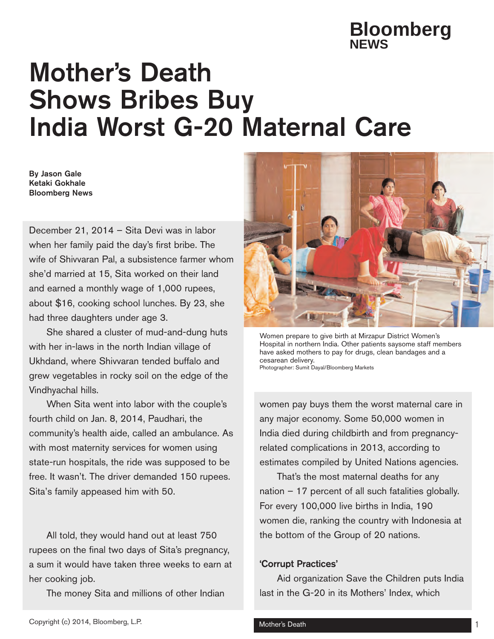# Mother's Death Shows Bribes Buy India Worst G-20 Maternal Care

By Jason Gale Ketaki Gokhale Bloomberg News

December 21, 2014 – Sita Devi was in labor when her family paid the day's first bribe. The wife of Shivvaran Pal, a subsistence farmer whom she'd married at 15, Sita worked on their land and earned a monthly wage of 1,000 rupees, about \$16, cooking school lunches. By 23, she had three daughters under age 3.

She shared a cluster of mud-and-dung huts with her in-laws in the north Indian village of Ukhdand, where Shivvaran tended buffalo and grew vegetables in rocky soil on the edge of the Vindhyachal hills.

When Sita went into labor with the couple's fourth child on Jan. 8, 2014, Paudhari, the community's health aide, called an ambulance. As with most maternity services for women using state-run hospitals, the ride was supposed to be free. It wasn't. The driver demanded 150 rupees. Sita's family appeased him with 50.

All told, they would hand out at least 750 rupees on the final two days of Sita's pregnancy, a sum it would have taken three weeks to earn at her cooking job.

The money Sita and millions of other Indian



Women prepare to give birth at Mirzapur District Women's Hospital in northern India. Other patients saysome staff members have asked mothers to pay for drugs, clean bandages and a cesarean delivery. Photographer: Sumit Dayal/Bloomberg Markets

women pay buys them the worst maternal care in any major economy. Some 50,000 women in India died during childbirth and from pregnancyrelated complications in 2013, according to estimates compiled by United Nations agencies.

That's the most maternal deaths for any nation – 17 percent of all such fatalities globally. For every 100,000 live births in India, 190 women die, ranking the country with Indonesia at the bottom of the Group of 20 nations.

### 'Corrupt Practices'

Aid organization Save the Children puts India last in the G-20 in its Mothers' Index, which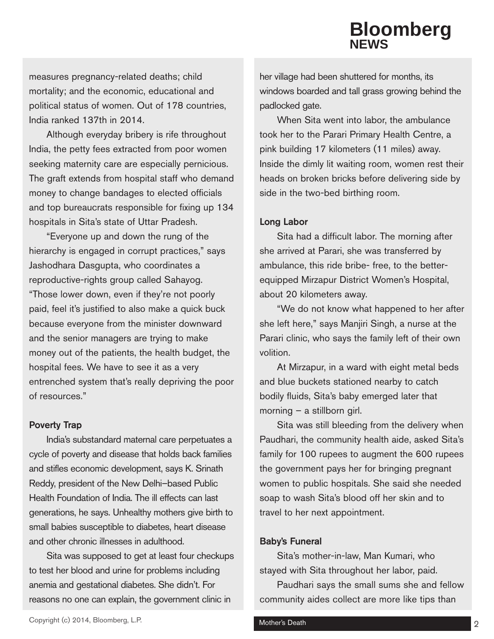measures pregnancy-related deaths; child mortality; and the economic, educational and political status of women. Out of 178 countries, India ranked 137th in 2014.

Although everyday bribery is rife throughout India, the petty fees extracted from poor women seeking maternity care are especially pernicious. The graft extends from hospital staff who demand money to change bandages to elected officials and top bureaucrats responsible for fixing up 134 hospitals in Sita's state of Uttar Pradesh.

"Everyone up and down the rung of the hierarchy is engaged in corrupt practices," says Jashodhara Dasgupta, who coordinates a reproductive-rights group called Sahayog. "Those lower down, even if they're not poorly paid, feel it's justified to also make a quick buck because everyone from the minister downward and the senior managers are trying to make money out of the patients, the health budget, the hospital fees. We have to see it as a very entrenched system that's really depriving the poor of resources."

#### Poverty Trap

India's substandard maternal care perpetuates a cycle of poverty and disease that holds back families and stifles economic development, says K. Srinath Reddy, president of the New Delhi–based Public Health Foundation of India. The ill effects can last generations, he says. Unhealthy mothers give birth to small babies susceptible to diabetes, heart disease and other chronic illnesses in adulthood.

Sita was supposed to get at least four checkups to test her blood and urine for problems including anemia and gestational diabetes. She didn't. For reasons no one can explain, the government clinic in

her village had been shuttered for months, its windows boarded and tall grass growing behind the padlocked gate.

When Sita went into labor, the ambulance took her to the Parari Primary Health Centre, a pink building 17 kilometers (11 miles) away. Inside the dimly lit waiting room, women rest their heads on broken bricks before delivering side by side in the two-bed birthing room.

#### Long Labor

Sita had a difficult labor. The morning after she arrived at Parari, she was transferred by ambulance, this ride bribe- free, to the betterequipped Mirzapur District Women's Hospital, about 20 kilometers away.

"We do not know what happened to her after she left here," says Manjiri Singh, a nurse at the Parari clinic, who says the family left of their own volition.

At Mirzapur, in a ward with eight metal beds and blue buckets stationed nearby to catch bodily fluids, Sita's baby emerged later that morning – a stillborn girl.

Sita was still bleeding from the delivery when Paudhari, the community health aide, asked Sita's family for 100 rupees to augment the 600 rupees the government pays her for bringing pregnant women to public hospitals. She said she needed soap to wash Sita's blood off her skin and to travel to her next appointment.

#### Baby's Funeral

Sita's mother-in-law, Man Kumari, who stayed with Sita throughout her labor, paid.

Paudhari says the small sums she and fellow community aides collect are more like tips than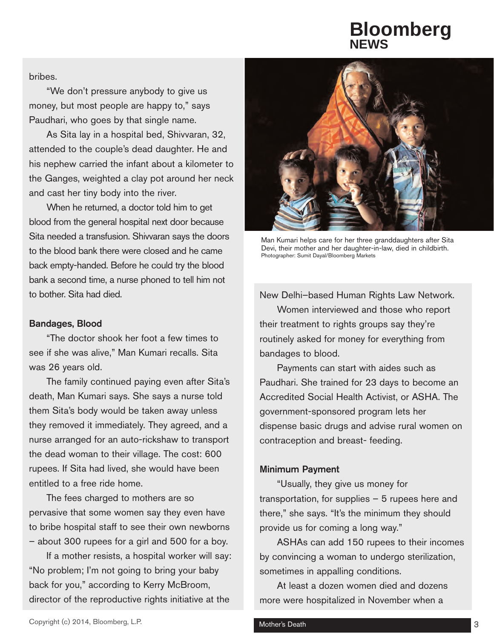### bribes.

"We don't pressure anybody to give us money, but most people are happy to," says Paudhari, who goes by that single name.

As Sita lay in a hospital bed, Shivvaran, 32, attended to the couple's dead daughter. He and his nephew carried the infant about a kilometer to the Ganges, weighted a clay pot around her neck and cast her tiny body into the river.

When he returned, a doctor told him to get blood from the general hospital next door because Sita needed a transfusion. Shivvaran says the doors to the blood bank there were closed and he came back empty-handed. Before he could try the blood bank a second time, a nurse phoned to tell him not to bother. Sita had died.

### Bandages, Blood

"The doctor shook her foot a few times to see if she was alive," Man Kumari recalls. Sita was 26 years old.

The family continued paying even after Sita's death, Man Kumari says. She says a nurse told them Sita's body would be taken away unless they removed it immediately. They agreed, and a nurse arranged for an auto-rickshaw to transport the dead woman to their village. The cost: 600 rupees. If Sita had lived, she would have been entitled to a free ride home.

The fees charged to mothers are so pervasive that some women say they even have to bribe hospital staff to see their own newborns – about 300 rupees for a girl and 500 for a boy.

If a mother resists, a hospital worker will say: "No problem; I'm not going to bring your baby back for you," according to Kerry McBroom, director of the reproductive rights initiative at the



Man Kumari helps care for her three granddaughters after Sita Devi, their mother and her daughter-in-law, died in childbirth. Photographer: Sumit Dayal/Bloomberg Markets

New Delhi–based Human Rights Law Network.

Women interviewed and those who report their treatment to rights groups say they're routinely asked for money for everything from bandages to blood.

Payments can start with aides such as Paudhari. She trained for 23 days to become an Accredited Social Health Activist, or ASHA. The government-sponsored program lets her dispense basic drugs and advise rural women on contraception and breast- feeding.

#### Minimum Payment

"Usually, they give us money for transportation, for supplies – 5 rupees here and there," she says. "It's the minimum they should provide us for coming a long way."

ASHAs can add 150 rupees to their incomes by convincing a woman to undergo sterilization, sometimes in appalling conditions.

At least a dozen women died and dozens more were hospitalized in November when a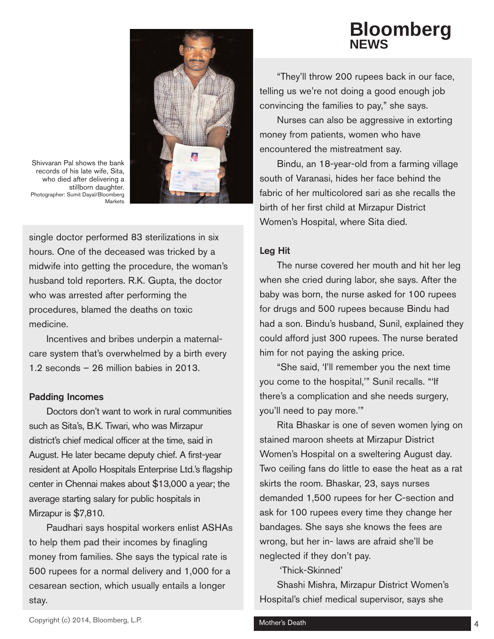

Shivvaran Pal shows the bank records of his late wife, Sita, who died after delivering a stillborn daughter. Photographer: Sumit Dayal/Bloomberg **Markets** 

single doctor performed 83 sterilizations in six hours. One of the deceased was tricked by a midwife into getting the procedure, the woman's husband told reporters. R.K. Gupta, the doctor who was arrested after performing the procedures, blamed the deaths on toxic medicine.

Incentives and bribes underpin a maternalcare system that's overwhelmed by a birth every 1.2 seconds – 26 million babies in 2013.

### Padding Incomes

Doctors don't want to work in rural communities such as Sita's, B.K. Tiwari, who was Mirzapur district's chief medical officer at the time, said in August. He later became deputy chief. A first-year resident at Apollo Hospitals Enterprise Ltd.'s flagship center in Chennai makes about \$13,000 a year; the average starting salary for public hospitals in Mirzapur is \$7,810.

Paudhari says hospital workers enlist ASHAs to help them pad their incomes by finagling money from families. She says the typical rate is 500 rupees for a normal delivery and 1,000 for a cesarean section, which usually entails a longer stay.

"They'll throw 200 rupees back in our face, telling us we're not doing a good enough job convincing the families to pay," she says.

Nurses can also be aggressive in extorting money from patients, women who have encountered the mistreatment say.

Bindu, an 18-year-old from a farming village south of Varanasi, hides her face behind the fabric of her multicolored sari as she recalls the birth of her first child at Mirzapur District Women's Hospital, where Sita died.

### Leg Hit

The nurse covered her mouth and hit her leg when she cried during labor, she says. After the baby was born, the nurse asked for 100 rupees for drugs and 500 rupees because Bindu had had a son. Bindu's husband, Sunil, explained they could afford just 300 rupees. The nurse berated him for not paying the asking price.

"She said, 'I'll remember you the next time you come to the hospital,'" Sunil recalls. "'If there's a complication and she needs surgery, you'll need to pay more.'"

Rita Bhaskar is one of seven women lying on stained maroon sheets at Mirzapur District Women's Hospital on a sweltering August day. Two ceiling fans do little to ease the heat as a rat skirts the room. Bhaskar, 23, says nurses demanded 1,500 rupees for her C-section and ask for 100 rupees every time they change her bandages. She says she knows the fees are wrong, but her in- laws are afraid she'll be neglected if they don't pay.

'Thick-Skinned'

Shashi Mishra, Mirzapur District Women's Hospital's chief medical supervisor, says she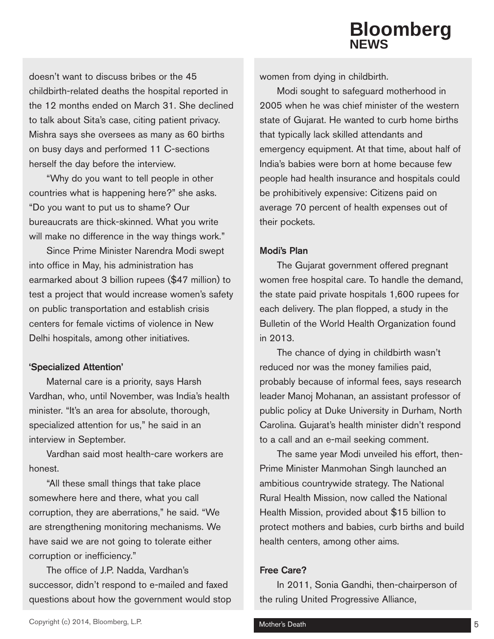doesn't want to discuss bribes or the 45 childbirth-related deaths the hospital reported in the 12 months ended on March 31. She declined to talk about Sita's case, citing patient privacy. Mishra says she oversees as many as 60 births on busy days and performed 11 C-sections herself the day before the interview.

"Why do you want to tell people in other countries what is happening here?" she asks. "Do you want to put us to shame? Our bureaucrats are thick-skinned. What you write will make no difference in the way things work."

Since Prime Minister Narendra Modi swept into office in May, his administration has earmarked about 3 billion rupees (\$47 million) to test a project that would increase women's safety on public transportation and establish crisis centers for female victims of violence in New Delhi hospitals, among other initiatives.

#### 'Specialized Attention'

Maternal care is a priority, says Harsh Vardhan, who, until November, was India's health minister. "It's an area for absolute, thorough, specialized attention for us," he said in an interview in September.

Vardhan said most health-care workers are honest.

"All these small things that take place somewhere here and there, what you call corruption, they are aberrations," he said. "We are strengthening monitoring mechanisms. We have said we are not going to tolerate either corruption or inefficiency."

The office of J.P. Nadda, Vardhan's successor, didn't respond to e-mailed and faxed questions about how the government would stop women from dying in childbirth.

Modi sought to safeguard motherhood in 2005 when he was chief minister of the western state of Gujarat. He wanted to curb home births that typically lack skilled attendants and emergency equipment. At that time, about half of India's babies were born at home because few people had health insurance and hospitals could be prohibitively expensive: Citizens paid on average 70 percent of health expenses out of their pockets.

### Modi's Plan

The Gujarat government offered pregnant women free hospital care. To handle the demand, the state paid private hospitals 1,600 rupees for each delivery. The plan flopped, a study in the Bulletin of the World Health Organization found in 2013.

The chance of dying in childbirth wasn't reduced nor was the money families paid, probably because of informal fees, says research leader Manoj Mohanan, an assistant professor of public policy at Duke University in Durham, North Carolina. Gujarat's health minister didn't respond to a call and an e-mail seeking comment.

The same year Modi unveiled his effort, then-Prime Minister Manmohan Singh launched an ambitious countrywide strategy. The National Rural Health Mission, now called the National Health Mission, provided about \$15 billion to protect mothers and babies, curb births and build health centers, among other aims.

### Free Care?

In 2011, Sonia Gandhi, then-chairperson of the ruling United Progressive Alliance,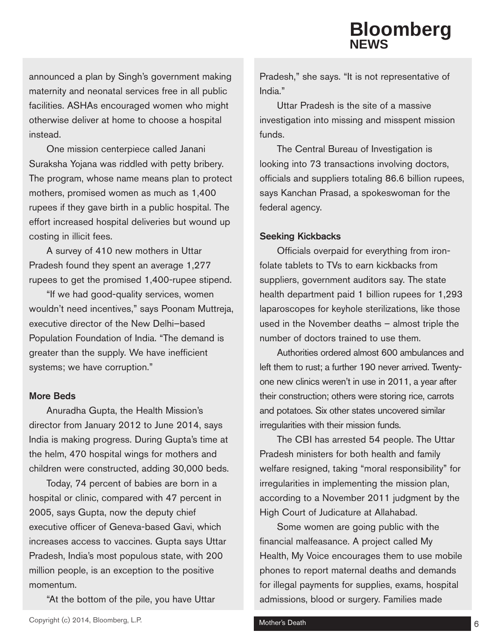announced a plan by Singh's government making maternity and neonatal services free in all public facilities. ASHAs encouraged women who might otherwise deliver at home to choose a hospital instead.

One mission centerpiece called Janani Suraksha Yojana was riddled with petty bribery. The program, whose name means plan to protect mothers, promised women as much as 1,400 rupees if they gave birth in a public hospital. The effort increased hospital deliveries but wound up costing in illicit fees.

A survey of 410 new mothers in Uttar Pradesh found they spent an average 1,277 rupees to get the promised 1,400-rupee stipend.

"If we had good-quality services, women wouldn't need incentives," says Poonam Muttreja, executive director of the New Delhi–based Population Foundation of India. "The demand is greater than the supply. We have inefficient systems; we have corruption."

#### More Beds

Anuradha Gupta, the Health Mission's director from January 2012 to June 2014, says India is making progress. During Gupta's time at the helm, 470 hospital wings for mothers and children were constructed, adding 30,000 beds.

Today, 74 percent of babies are born in a hospital or clinic, compared with 47 percent in 2005, says Gupta, now the deputy chief executive officer of Geneva-based Gavi, which increases access to vaccines. Gupta says Uttar Pradesh, India's most populous state, with 200 million people, is an exception to the positive momentum.

"At the bottom of the pile, you have Uttar

Pradesh," she says. "It is not representative of India."

Uttar Pradesh is the site of a massive investigation into missing and misspent mission funds.

The Central Bureau of Investigation is looking into 73 transactions involving doctors, officials and suppliers totaling 86.6 billion rupees, says Kanchan Prasad, a spokeswoman for the federal agency.

### Seeking Kickbacks

Officials overpaid for everything from ironfolate tablets to TVs to earn kickbacks from suppliers, government auditors say. The state health department paid 1 billion rupees for 1,293 laparoscopes for keyhole sterilizations, like those used in the November deaths – almost triple the number of doctors trained to use them.

Authorities ordered almost 600 ambulances and left them to rust; a further 190 never arrived. Twentyone new clinics weren't in use in 2011, a year after their construction; others were storing rice, carrots and potatoes. Six other states uncovered similar irregularities with their mission funds.

The CBI has arrested 54 people. The Uttar Pradesh ministers for both health and family welfare resigned, taking "moral responsibility" for irregularities in implementing the mission plan, according to a November 2011 judgment by the High Court of Judicature at Allahabad.

Some women are going public with the financial malfeasance. A project called My Health, My Voice encourages them to use mobile phones to report maternal deaths and demands for illegal payments for supplies, exams, hospital admissions, blood or surgery. Families made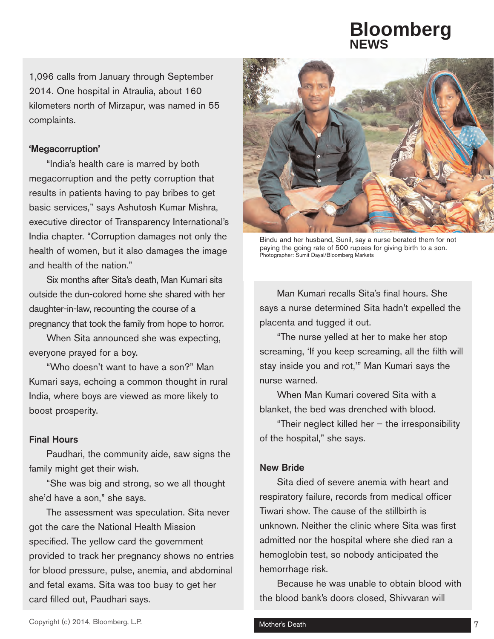1,096 calls from January through September 2014. One hospital in Atraulia, about 160 kilometers north of Mirzapur, was named in 55 complaints.

### 'Megacorruption'

"India's health care is marred by both megacorruption and the petty corruption that results in patients having to pay bribes to get basic services," says Ashutosh Kumar Mishra, executive director of Transparency International's India chapter. "Corruption damages not only the health of women, but it also damages the image and health of the nation."

Six months after Sita's death, Man Kumari sits outside the dun-colored home she shared with her daughter-in-law, recounting the course of a pregnancy that took the family from hope to horror.

When Sita announced she was expecting, everyone prayed for a boy.

"Who doesn't want to have a son?" Man Kumari says, echoing a common thought in rural India, where boys are viewed as more likely to boost prosperity.

## Final Hours

Paudhari, the community aide, saw signs the family might get their wish.

"She was big and strong, so we all thought she'd have a son," she says.

The assessment was speculation. Sita never got the care the National Health Mission specified. The yellow card the government provided to track her pregnancy shows no entries for blood pressure, pulse, anemia, and abdominal and fetal exams. Sita was too busy to get her card filled out, Paudhari says.



Bindu and her husband, Sunil, say a nurse berated them for not paying the going rate of 500 rupees for giving birth to a son. Photographer: Sumit Dayal/Bloomberg Markets

Man Kumari recalls Sita's final hours. She says a nurse determined Sita hadn't expelled the placenta and tugged it out.

"The nurse yelled at her to make her stop screaming, 'If you keep screaming, all the filth will stay inside you and rot,'" Man Kumari says the nurse warned.

When Man Kumari covered Sita with a blanket, the bed was drenched with blood.

"Their neglect killed her – the irresponsibility of the hospital," she says.

#### New Bride

Sita died of severe anemia with heart and respiratory failure, records from medical officer Tiwari show. The cause of the stillbirth is unknown. Neither the clinic where Sita was first admitted nor the hospital where she died ran a hemoglobin test, so nobody anticipated the hemorrhage risk.

Because he was unable to obtain blood with the blood bank's doors closed, Shivvaran will